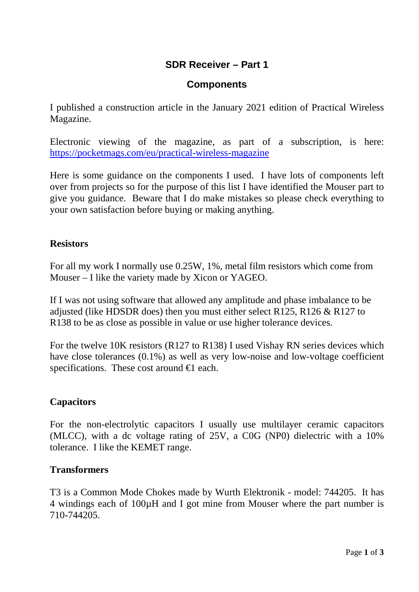# **SDR Receiver – Part 1**

## **Components**

I published a construction article in the January 2021 edition of Practical Wireless Magazine.

Electronic viewing of the magazine, as part of a subscription, is here: <https://pocketmags.com/eu/practical-wireless-magazine>

Here is some guidance on the components I used. I have lots of components left over from projects so for the purpose of this list I have identified the Mouser part to give you guidance. Beware that I do make mistakes so please check everything to your own satisfaction before buying or making anything.

### **Resistors**

For all my work I normally use 0.25W, 1%, metal film resistors which come from Mouser – I like the variety made by Xicon or YAGEO.

If I was not using software that allowed any amplitude and phase imbalance to be adjusted (like HDSDR does) then you must either select R125, R126 & R127 to R138 to be as close as possible in value or use higher tolerance devices.

For the twelve 10K resistors (R127 to R138) I used Vishay RN series devices which have close tolerances (0.1%) as well as very low-noise and low-voltage coefficient specifications. These cost around  $\in$  each.

#### **Capacitors**

For the non-electrolytic capacitors I usually use multilayer ceramic capacitors (MLCC), with a dc voltage rating of 25V, a C0G (NP0) dielectric with a 10% tolerance. I like the KEMET range.

#### **Transformers**

T3 is a Common Mode Chokes made by [Wurth Elektronik](https://www.mouser.ie/manufacturer/wurth-elektronik/) - model: 744205. It has 4 windings each of 100µH and I got mine from Mouser where the part number is 710-744205.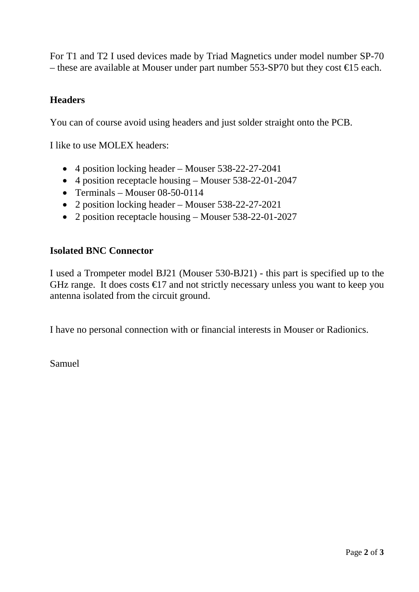For T1 and T2 I used devices made by Triad Magnetics under model number SP-70 – these are available at Mouser under part number 553-SP70 but they cost  $\epsilon$  5 each.

# **Headers**

You can of course avoid using headers and just solder straight onto the PCB.

I like to use MOLEX headers:

- 4 position locking header Mouser 538-22-27-2041
- 4 position receptacle housing Mouser 538-22-01-2047
- Terminals Mouser 08-50-0114
- 2 position locking header Mouser 538-22-27-2021
- 2 position receptacle housing Mouser 538-22-01-2027

### **Isolated BNC Connector**

I used a Trompeter model BJ21 (Mouser 530-BJ21) - this part is specified up to the GHz range. It does costs  $\bigoplus$  7 and not strictly necessary unless you want to keep you antenna isolated from the circuit ground.

I have no personal connection with or financial interests in Mouser or Radionics.

Samuel